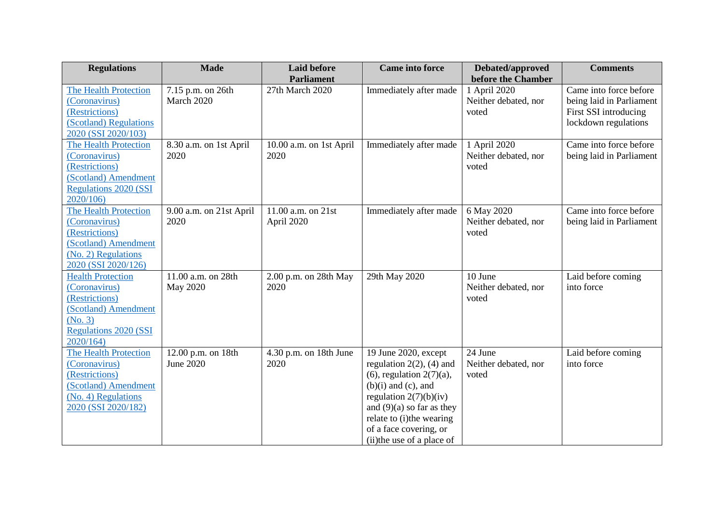| <b>Regulations</b>                                                                                                                         | <b>Made</b>                            | <b>Laid before</b>                   | <b>Came into force</b>                                                                                                                                                                                                                                             | Debated/approved                                                    | <b>Comments</b>                                                                                     |
|--------------------------------------------------------------------------------------------------------------------------------------------|----------------------------------------|--------------------------------------|--------------------------------------------------------------------------------------------------------------------------------------------------------------------------------------------------------------------------------------------------------------------|---------------------------------------------------------------------|-----------------------------------------------------------------------------------------------------|
| <b>The Health Protection</b><br>(Coronavirus)<br>(Restrictions)<br>(Scotland) Regulations<br>2020 (SSI 2020/103)                           | 7.15 p.m. on 26th<br>March 2020        | <b>Parliament</b><br>27th March 2020 | Immediately after made                                                                                                                                                                                                                                             | before the Chamber<br>1 April 2020<br>Neither debated, nor<br>voted | Came into force before<br>being laid in Parliament<br>First SSI introducing<br>lockdown regulations |
| The Health Protection<br>(Coronavirus)<br>(Restrictions)<br>(Scotland) Amendment<br><b>Regulations 2020 (SSI</b><br>2020/106)              | 8.30 a.m. on 1st April<br>2020         | 10.00 a.m. on 1st April<br>2020      | Immediately after made                                                                                                                                                                                                                                             | 1 April 2020<br>Neither debated, nor<br>voted                       | Came into force before<br>being laid in Parliament                                                  |
| <b>The Health Protection</b><br>(Coronavirus)<br>(Restrictions)<br>(Scotland) Amendment<br>(No. 2) Regulations<br>2020 (SSI 2020/126)      | 9.00 a.m. on 21st April<br>2020        | 11.00 a.m. on 21st<br>April 2020     | Immediately after made                                                                                                                                                                                                                                             | 6 May 2020<br>Neither debated, nor<br>voted                         | Came into force before<br>being laid in Parliament                                                  |
| <b>Health Protection</b><br>(Coronavirus)<br>(Restrictions)<br>(Scotland) Amendment<br>(No. 3)<br><b>Regulations 2020 (SSI</b><br>2020/164 | 11.00 a.m. on 28th<br>May 2020         | 2.00 p.m. on 28th May<br>2020        | 29th May 2020                                                                                                                                                                                                                                                      | 10 June<br>Neither debated, nor<br>voted                            | Laid before coming<br>into force                                                                    |
| <b>The Health Protection</b><br>(Coronavirus)<br>(Restrictions)<br>(Scotland) Amendment<br>(No. 4) Regulations<br>2020 (SSI 2020/182)      | 12.00 p.m. on 18th<br><b>June 2020</b> | 4.30 p.m. on 18th June<br>2020       | 19 June 2020, except<br>regulation $2(2)$ , $(4)$ and<br>$(6)$ , regulation $2(7)(a)$ ,<br>$(b)(i)$ and $(c)$ , and<br>regulation $2(7)(b)(iv)$<br>and $(9)(a)$ so far as they<br>relate to (i)the wearing<br>of a face covering, or<br>(ii) the use of a place of | 24 June<br>Neither debated, nor<br>voted                            | Laid before coming<br>into force                                                                    |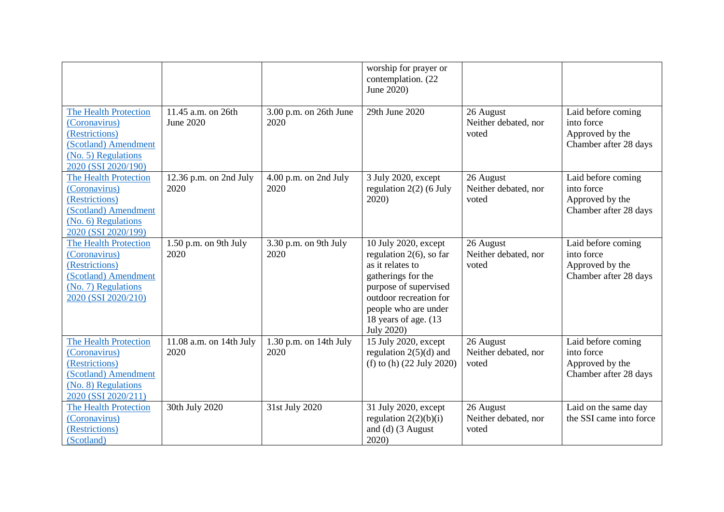|                                                                                                                                       |                                        |                                  | worship for prayer or<br>contemplation. (22<br>June 2020)                                                                                                                                                            |                                            |                                                                              |
|---------------------------------------------------------------------------------------------------------------------------------------|----------------------------------------|----------------------------------|----------------------------------------------------------------------------------------------------------------------------------------------------------------------------------------------------------------------|--------------------------------------------|------------------------------------------------------------------------------|
| <b>The Health Protection</b><br>(Coronavirus)<br>(Restrictions)<br>(Scotland) Amendment<br>(No. 5) Regulations<br>2020 (SSI 2020/190) | 11.45 a.m. on 26th<br><b>June 2020</b> | 3.00 p.m. on 26th June<br>2020   | 29th June 2020                                                                                                                                                                                                       | 26 August<br>Neither debated, nor<br>voted | Laid before coming<br>into force<br>Approved by the<br>Chamber after 28 days |
| <b>The Health Protection</b><br>(Coronavirus)<br>(Restrictions)<br>(Scotland) Amendment<br>(No. 6) Regulations<br>2020 (SSI 2020/199) | 12.36 p.m. on 2nd July<br>2020         | 4.00 p.m. on 2nd July<br>2020    | 3 July 2020, except<br>regulation $2(2)$ (6 July<br>2020)                                                                                                                                                            | 26 August<br>Neither debated, nor<br>voted | Laid before coming<br>into force<br>Approved by the<br>Chamber after 28 days |
| <b>The Health Protection</b><br>(Coronavirus)<br>(Restrictions)<br>(Scotland) Amendment<br>(No. 7) Regulations<br>2020 (SSI 2020/210) | 1.50 p.m. on 9th July<br>2020          | 3.30 p.m. on 9th July<br>2020    | 10 July 2020, except<br>regulation $2(6)$ , so far<br>as it relates to<br>gatherings for the<br>purpose of supervised<br>outdoor recreation for<br>people who are under<br>18 years of age. (13<br><b>July 2020)</b> | 26 August<br>Neither debated, nor<br>voted | Laid before coming<br>into force<br>Approved by the<br>Chamber after 28 days |
| <b>The Health Protection</b><br>(Coronavirus)<br>(Restrictions)<br>(Scotland) Amendment<br>(No. 8) Regulations<br>2020 (SSI 2020/211) | 11.08 a.m. on 14th July<br>2020        | $1.30$ p.m. on 14th July<br>2020 | 15 July 2020, except<br>regulation $2(5)(d)$ and<br>(f) to (h) $(22 \text{ July } 2020)$                                                                                                                             | 26 August<br>Neither debated, nor<br>voted | Laid before coming<br>into force<br>Approved by the<br>Chamber after 28 days |
| <b>The Health Protection</b><br>(Coronavirus)<br>(Restrictions)<br>(Scotland)                                                         | 30th July 2020                         | 31st July 2020                   | 31 July 2020, except<br>regulation $2(2)(b)(i)$<br>and (d) (3 August<br>2020)                                                                                                                                        | 26 August<br>Neither debated, nor<br>voted | Laid on the same day<br>the SSI came into force                              |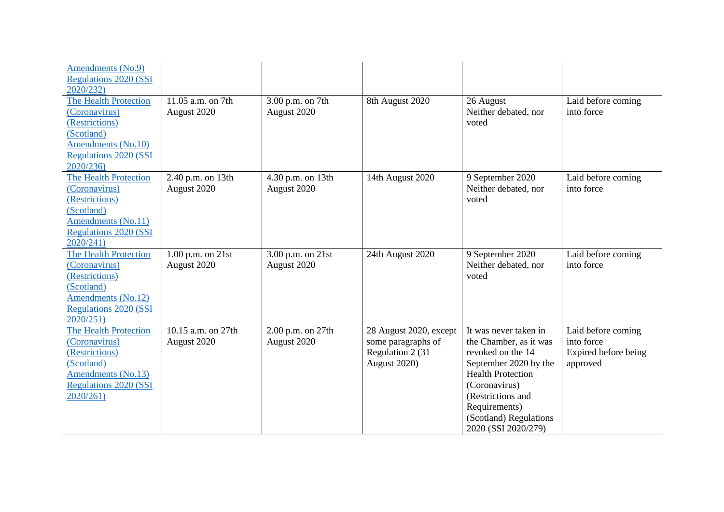| Amendments (No.9)<br><b>Regulations 2020 (SSI</b><br>2020/232)                                                                                   |                                       |                                  |                                                                                   |                                                                                                                                                                                                                                   |                                                                      |
|--------------------------------------------------------------------------------------------------------------------------------------------------|---------------------------------------|----------------------------------|-----------------------------------------------------------------------------------|-----------------------------------------------------------------------------------------------------------------------------------------------------------------------------------------------------------------------------------|----------------------------------------------------------------------|
| <b>The Health Protection</b><br>(Coronavirus)<br>(Restrictions)<br>(Scotland)<br>Amendments (No.10)<br><b>Regulations 2020 (SSI</b><br>2020/236) | 11.05 a.m. on 7th<br>August 2020      | 3.00 p.m. on 7th<br>August 2020  | 8th August 2020                                                                   | 26 August<br>Neither debated, nor<br>voted                                                                                                                                                                                        | Laid before coming<br>into force                                     |
| <b>The Health Protection</b><br>(Coronavirus)<br>(Restrictions)<br>(Scotland)<br>Amendments (No.11)<br><b>Regulations 2020 (SSI</b><br>2020/241) | 2.40 p.m. on 13th<br>August 2020      | 4.30 p.m. on 13th<br>August 2020 | 14th August 2020                                                                  | 9 September 2020<br>Neither debated, nor<br>voted                                                                                                                                                                                 | Laid before coming<br>into force                                     |
| <b>The Health Protection</b><br>(Coronavirus)<br>(Restrictions)<br>(Scotland)<br>Amendments (No.12)<br><b>Regulations 2020 (SSI</b><br>2020/251) | $1.00$ p.m. on $21$ st<br>August 2020 | 3.00 p.m. on 21st<br>August 2020 | 24th August 2020                                                                  | 9 September 2020<br>Neither debated, nor<br>voted                                                                                                                                                                                 | Laid before coming<br>into force                                     |
| <b>The Health Protection</b><br>(Coronavirus)<br>(Restrictions)<br>(Scotland)<br>Amendments (No.13)<br><b>Regulations 2020 (SSI</b><br>2020/261) | 10.15 a.m. on 27th<br>August 2020     | 2.00 p.m. on 27th<br>August 2020 | 28 August 2020, except<br>some paragraphs of<br>Regulation 2 (31)<br>August 2020) | It was never taken in<br>the Chamber, as it was<br>revoked on the 14<br>September 2020 by the<br><b>Health Protection</b><br>(Coronavirus)<br>(Restrictions and<br>Requirements)<br>(Scotland) Regulations<br>2020 (SSI 2020/279) | Laid before coming<br>into force<br>Expired before being<br>approved |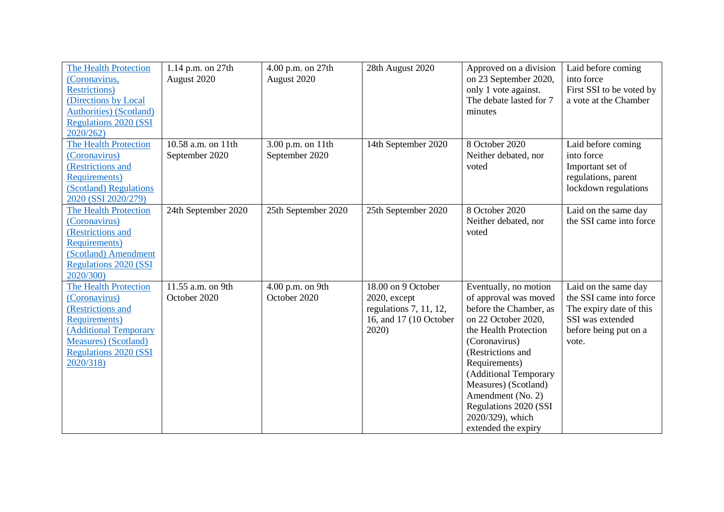| <b>The Health Protection</b><br>(Coronavirus,<br><b>Restrictions</b> )<br>(Directions by Local<br>Authorities) (Scotland)<br><b>Regulations 2020 (SSI</b><br>2020/262)                  | 1.14 p.m. on 27th<br>August 2020     | 4.00 p.m. on 27th<br>August 2020    | 28th August 2020                                                                                | Approved on a division<br>on 23 September 2020,<br>only 1 vote against.<br>The debate lasted for 7<br>minutes                                                                                                                                                                                                             | Laid before coming<br>into force<br>First SSI to be voted by<br>a vote at the Chamber                                            |
|-----------------------------------------------------------------------------------------------------------------------------------------------------------------------------------------|--------------------------------------|-------------------------------------|-------------------------------------------------------------------------------------------------|---------------------------------------------------------------------------------------------------------------------------------------------------------------------------------------------------------------------------------------------------------------------------------------------------------------------------|----------------------------------------------------------------------------------------------------------------------------------|
| <b>The Health Protection</b><br>(Coronavirus)<br>(Restrictions and<br><b>Requirements</b> )<br>(Scotland) Regulations<br>2020 (SSI 2020/279)                                            | 10.58 a.m. on 11th<br>September 2020 | 3.00 p.m. on 11th<br>September 2020 | 14th September 2020                                                                             | 8 October 2020<br>Neither debated, nor<br>voted                                                                                                                                                                                                                                                                           | Laid before coming<br>into force<br>Important set of<br>regulations, parent<br>lockdown regulations                              |
| The Health Protection<br>(Coronavirus)<br>(Restrictions and<br><b>Requirements</b> )<br>(Scotland) Amendment<br><b>Regulations 2020 (SSI</b><br>2020/300)                               | 24th September 2020                  | 25th September 2020                 | 25th September 2020                                                                             | 8 October 2020<br>Neither debated, nor<br>voted                                                                                                                                                                                                                                                                           | Laid on the same day<br>the SSI came into force                                                                                  |
| <b>The Health Protection</b><br>(Coronavirus)<br>(Restrictions and<br>Requirements)<br><b>Additional Temporary</b><br>Measures) (Scotland)<br><b>Regulations 2020 (SSI</b><br>2020/318) | 11.55 a.m. on 9th<br>October 2020    | 4.00 p.m. on 9th<br>October 2020    | 18.00 on 9 October<br>2020, except<br>regulations 7, 11, 12,<br>16, and 17 (10 October<br>2020) | Eventually, no motion<br>of approval was moved<br>before the Chamber, as<br>on 22 October 2020,<br>the Health Protection<br>(Coronavirus)<br>(Restrictions and<br>Requirements)<br>(Additional Temporary<br>Measures) (Scotland)<br>Amendment (No. 2)<br>Regulations 2020 (SSI<br>2020/329), which<br>extended the expiry | Laid on the same day<br>the SSI came into force<br>The expiry date of this<br>SSI was extended<br>before being put on a<br>vote. |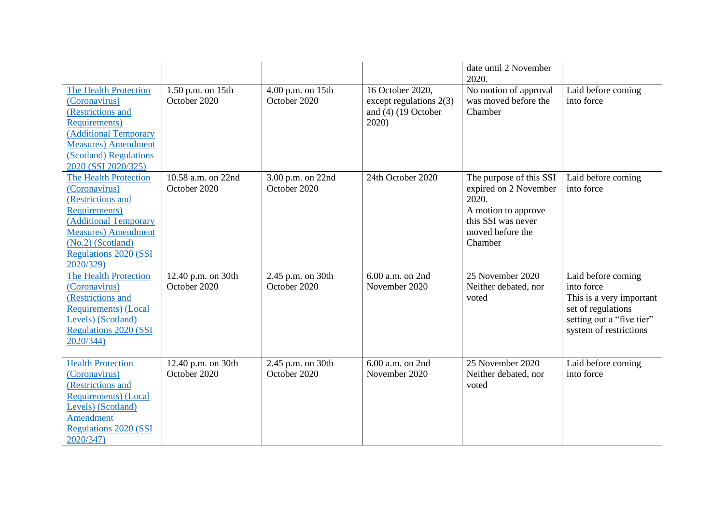|                              |                     |                   |                         | date until 2 November<br>2020. |                           |
|------------------------------|---------------------|-------------------|-------------------------|--------------------------------|---------------------------|
| <b>The Health Protection</b> | 1.50 p.m. on $15th$ | 4.00 p.m. on 15th | 16 October 2020,        | No motion of approval          | Laid before coming        |
| (Coronavirus)                | October 2020        | October 2020      | except regulations 2(3) | was moved before the           | into force                |
| (Restrictions and            |                     |                   | and $(4)$ (19 October   | Chamber                        |                           |
| Requirements)                |                     |                   | 2020                    |                                |                           |
| (Additional Temporary        |                     |                   |                         |                                |                           |
| <b>Measures</b> ) Amendment  |                     |                   |                         |                                |                           |
| (Scotland) Regulations       |                     |                   |                         |                                |                           |
| 2020 (SSI 2020/325)          |                     |                   |                         |                                |                           |
| <b>The Health Protection</b> | 10.58 a.m. on 22nd  | 3.00 p.m. on 22nd | 24th October 2020       | The purpose of this SSI        | Laid before coming        |
| (Coronavirus)                | October 2020        | October 2020      |                         | expired on 2 November          | into force                |
| (Restrictions and            |                     |                   |                         | 2020.                          |                           |
| Requirements)                |                     |                   |                         | A motion to approve            |                           |
| (Additional Temporary        |                     |                   |                         | this SSI was never             |                           |
| <b>Measures</b> ) Amendment  |                     |                   |                         | moved before the               |                           |
| $(No.2)$ (Scotland)          |                     |                   |                         | Chamber                        |                           |
| <b>Regulations 2020 (SSI</b> |                     |                   |                         |                                |                           |
| 2020/329)                    |                     |                   |                         |                                |                           |
| <b>The Health Protection</b> | 12.40 p.m. on 30th  | 2.45 p.m. on 30th | 6.00 a.m. on 2nd        | 25 November 2020               | Laid before coming        |
| (Coronavirus)                | October 2020        | October 2020      | November 2020           | Neither debated, nor           | into force                |
| (Restrictions and            |                     |                   |                         | voted                          | This is a very important  |
| <b>Requirements</b> ) (Local |                     |                   |                         |                                | set of regulations        |
| Levels) (Scotland)           |                     |                   |                         |                                | setting out a "five tier" |
| <b>Regulations 2020 (SSI</b> |                     |                   |                         |                                | system of restrictions    |
| 2020/344)                    |                     |                   |                         |                                |                           |
|                              |                     |                   |                         |                                |                           |
| <b>Health Protection</b>     | 12.40 p.m. on 30th  | 2.45 p.m. on 30th | 6.00 a.m. on 2nd        | 25 November 2020               | Laid before coming        |
| (Coronavirus)                | October 2020        | October 2020      | November 2020           | Neither debated, nor           | into force                |
| (Restrictions and            |                     |                   |                         | voted                          |                           |
| <b>Requirements</b> ) (Local |                     |                   |                         |                                |                           |
| Levels) (Scotland)           |                     |                   |                         |                                |                           |
| Amendment                    |                     |                   |                         |                                |                           |
| <b>Regulations 2020 (SSI</b> |                     |                   |                         |                                |                           |
| 2020/347)                    |                     |                   |                         |                                |                           |
|                              |                     |                   |                         |                                |                           |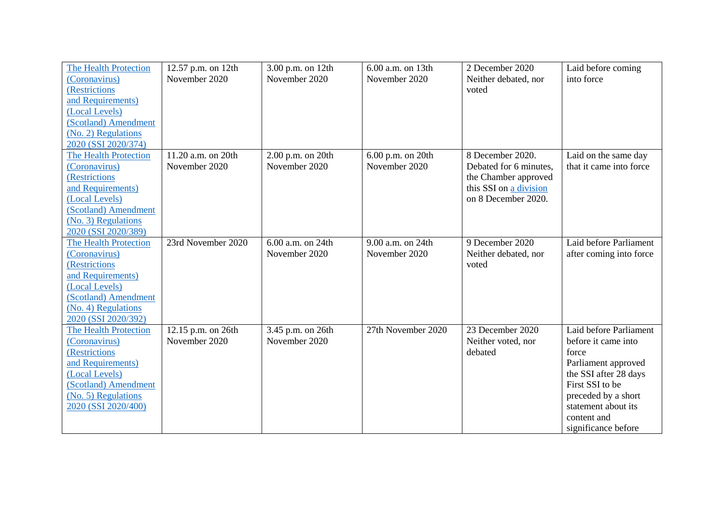| <b>The Health Protection</b><br>(Coronavirus)<br>(Restrictions                                                                                                                     | 12.57 p.m. on 12th<br>November 2020 | 3.00 p.m. on 12th<br>November 2020 | 6.00 a.m. on 13th<br>November 2020 | 2 December 2020<br>Neither debated, nor<br>voted                                                                    | Laid before coming<br>into force                                                                                                                                                                              |
|------------------------------------------------------------------------------------------------------------------------------------------------------------------------------------|-------------------------------------|------------------------------------|------------------------------------|---------------------------------------------------------------------------------------------------------------------|---------------------------------------------------------------------------------------------------------------------------------------------------------------------------------------------------------------|
| and Requirements)<br>(Local Levels)<br>(Scotland) Amendment<br>(No. 2) Regulations<br>2020 (SSI 2020/374)                                                                          |                                     |                                    |                                    |                                                                                                                     |                                                                                                                                                                                                               |
| <b>The Health Protection</b><br>(Coronavirus)<br><b>(Restrictions</b><br>and Requirements)<br>(Local Levels)<br>(Scotland) Amendment<br>(No. 3) Regulations<br>2020 (SSI 2020/389) | 11.20 a.m. on 20th<br>November 2020 | 2.00 p.m. on 20th<br>November 2020 | 6.00 p.m. on 20th<br>November 2020 | 8 December 2020.<br>Debated for 6 minutes,<br>the Chamber approved<br>this SSI on a division<br>on 8 December 2020. | Laid on the same day<br>that it came into force                                                                                                                                                               |
| <b>The Health Protection</b><br>(Coronavirus)<br>(Restrictions<br>and Requirements)<br>(Local Levels)<br>(Scotland) Amendment<br>(No. 4) Regulations<br>2020 (SSI 2020/392)        | 23rd November 2020                  | 6.00 a.m. on 24th<br>November 2020 | 9.00 a.m. on 24th<br>November 2020 | 9 December 2020<br>Neither debated, nor<br>voted                                                                    | Laid before Parliament<br>after coming into force                                                                                                                                                             |
| <b>The Health Protection</b><br>(Coronavirus)<br>(Restrictions<br>and Requirements)<br>(Local Levels)<br>(Scotland) Amendment<br>(No. 5) Regulations<br>2020 (SSI 2020/400)        | 12.15 p.m. on 26th<br>November 2020 | 3.45 p.m. on 26th<br>November 2020 | 27th November 2020                 | 23 December 2020<br>Neither voted, nor<br>debated                                                                   | Laid before Parliament<br>before it came into<br>force<br>Parliament approved<br>the SSI after 28 days<br>First SSI to be<br>preceded by a short<br>statement about its<br>content and<br>significance before |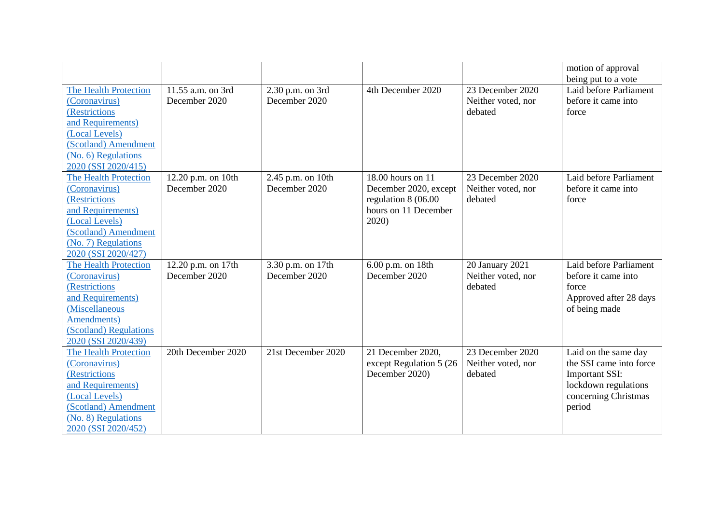|                              |                    |                    |                          |                    | motion of approval      |
|------------------------------|--------------------|--------------------|--------------------------|--------------------|-------------------------|
|                              |                    |                    |                          |                    | being put to a vote     |
| <b>The Health Protection</b> | 11.55 a.m. on 3rd  | 2.30 p.m. on 3rd   | 4th December 2020        | 23 December 2020   | Laid before Parliament  |
| (Coronavirus)                | December 2020      | December 2020      |                          | Neither voted, nor | before it came into     |
| (Restrictions                |                    |                    |                          | debated            | force                   |
| and Requirements)            |                    |                    |                          |                    |                         |
| (Local Levels)               |                    |                    |                          |                    |                         |
| (Scotland) Amendment         |                    |                    |                          |                    |                         |
| (No. 6) Regulations          |                    |                    |                          |                    |                         |
| 2020 (SSI 2020/415)          |                    |                    |                          |                    |                         |
| <b>The Health Protection</b> | 12.20 p.m. on 10th | 2.45 p.m. on 10th  | 18.00 hours on 11        | 23 December 2020   | Laid before Parliament  |
| (Coronavirus)                | December 2020      | December 2020      | December 2020, except    | Neither voted, nor | before it came into     |
| (Restrictions                |                    |                    | regulation 8 (06.00      | debated            | force                   |
| and Requirements)            |                    |                    | hours on 11 December     |                    |                         |
| (Local Levels)               |                    |                    | 2020)                    |                    |                         |
| (Scotland) Amendment         |                    |                    |                          |                    |                         |
| (No. 7) Regulations          |                    |                    |                          |                    |                         |
| 2020 (SSI 2020/427)          |                    |                    |                          |                    |                         |
| <b>The Health Protection</b> | 12.20 p.m. on 17th | 3.30 p.m. on 17th  | 6.00 p.m. on 18th        | 20 January 2021    | Laid before Parliament  |
| (Coronavirus)                | December 2020      | December 2020      | December 2020            | Neither voted, nor | before it came into     |
| <b>(Restrictions)</b>        |                    |                    |                          | debated            | force                   |
| and Requirements)            |                    |                    |                          |                    | Approved after 28 days  |
| (Miscellaneous               |                    |                    |                          |                    | of being made           |
| Amendments)                  |                    |                    |                          |                    |                         |
| (Scotland) Regulations       |                    |                    |                          |                    |                         |
| 2020 (SSI 2020/439)          |                    |                    |                          |                    |                         |
| <b>The Health Protection</b> | 20th December 2020 | 21st December 2020 | 21 December 2020,        | 23 December 2020   | Laid on the same day    |
| (Coronavirus)                |                    |                    | except Regulation 5 (26) | Neither voted, nor | the SSI came into force |
| (Restrictions                |                    |                    | December 2020)           | debated            | <b>Important SSI:</b>   |
| and Requirements)            |                    |                    |                          |                    | lockdown regulations    |
| (Local Levels)               |                    |                    |                          |                    | concerning Christmas    |
| (Scotland) Amendment         |                    |                    |                          |                    | period                  |
| (No. 8) Regulations          |                    |                    |                          |                    |                         |
| 2020 (SSI 2020/452)          |                    |                    |                          |                    |                         |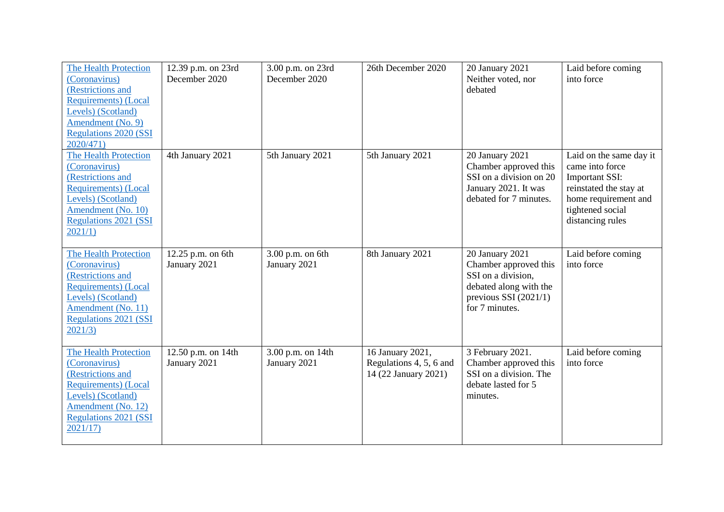| <b>The Health Protection</b><br>(Coronavirus)<br>(Restrictions and<br><b>Requirements</b> ) (Local<br>Levels) (Scotland)<br>Amendment (No. 9)<br><b>Regulations 2020 (SSI</b><br>2020/471) | 12.39 p.m. on 23rd<br>December 2020 | 3.00 p.m. on 23rd<br>December 2020 | 26th December 2020                                                  | 20 January 2021<br>Neither voted, nor<br>debated                                                                                      | Laid before coming<br>into force                                                                                                                              |
|--------------------------------------------------------------------------------------------------------------------------------------------------------------------------------------------|-------------------------------------|------------------------------------|---------------------------------------------------------------------|---------------------------------------------------------------------------------------------------------------------------------------|---------------------------------------------------------------------------------------------------------------------------------------------------------------|
| The Health Protection<br>(Coronavirus)<br>(Restrictions and<br><b>Requirements</b> ) (Local<br>Levels) (Scotland)<br>Amendment (No. 10)<br><b>Regulations 2021 (SSI</b><br>2021/1)         | 4th January 2021                    | 5th January 2021                   | 5th January 2021                                                    | 20 January 2021<br>Chamber approved this<br>SSI on a division on 20<br>January 2021. It was<br>debated for 7 minutes.                 | Laid on the same day it<br>came into force<br><b>Important SSI:</b><br>reinstated the stay at<br>home requirement and<br>tightened social<br>distancing rules |
| <b>The Health Protection</b><br>(Coronavirus)<br>(Restrictions and<br><b>Requirements</b> ) (Local<br>Levels) (Scotland)<br>Amendment (No. 11)<br><b>Regulations 2021 (SSI</b><br>2021/3   | 12.25 p.m. on 6th<br>January 2021   | 3.00 p.m. on 6th<br>January 2021   | 8th January 2021                                                    | 20 January 2021<br>Chamber approved this<br>SSI on a division,<br>debated along with the<br>previous SSI $(2021/1)$<br>for 7 minutes. | Laid before coming<br>into force                                                                                                                              |
| The Health Protection<br>(Coronavirus)<br>(Restrictions and<br><b>Requirements</b> ) (Local<br>Levels) (Scotland)<br>Amendment (No. 12)<br><b>Regulations 2021 (SSI</b><br>2021/17         | 12.50 p.m. on 14th<br>January 2021  | 3.00 p.m. on 14th<br>January 2021  | 16 January 2021,<br>Regulations 4, 5, 6 and<br>14 (22 January 2021) | 3 February 2021.<br>Chamber approved this<br>SSI on a division. The<br>debate lasted for 5<br>minutes.                                | Laid before coming<br>into force                                                                                                                              |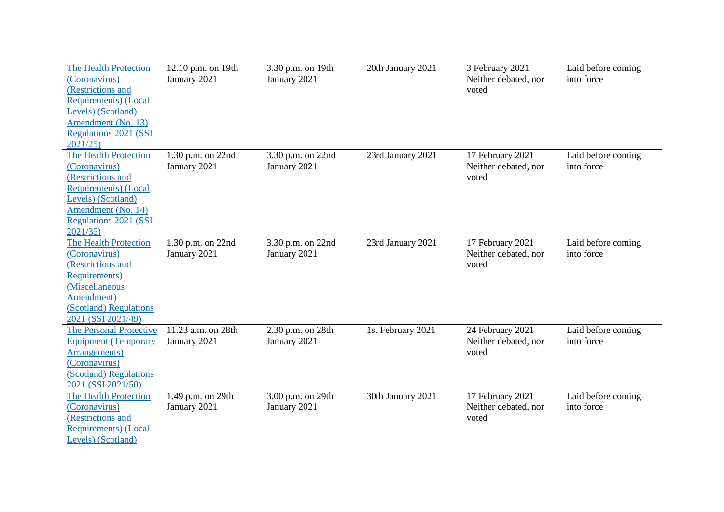| <b>The Health Protection</b><br>(Coronavirus)<br>(Restrictions and<br><b>Requirements</b> ) (Local<br>Levels) (Scotland)<br>Amendment (No. 13)<br><b>Regulations 2021 (SSI</b><br>2021/25 | 12.10 p.m. on 19th<br>January 2021 | 3.30 p.m. on 19th<br>January 2021 | 20th January 2021 | 3 February 2021<br>Neither debated, nor<br>voted  | Laid before coming<br>into force |
|-------------------------------------------------------------------------------------------------------------------------------------------------------------------------------------------|------------------------------------|-----------------------------------|-------------------|---------------------------------------------------|----------------------------------|
| The Health Protection<br>(Coronavirus)<br>(Restrictions and<br>Requirements) (Local<br>Levels) (Scotland)<br>Amendment (No. 14)<br><b>Regulations 2021 (SSI</b><br>2021/35                | 1.30 p.m. on 22nd<br>January 2021  | 3.30 p.m. on 22nd<br>January 2021 | 23rd January 2021 | 17 February 2021<br>Neither debated, nor<br>voted | Laid before coming<br>into force |
| <b>The Health Protection</b><br>(Coronavirus)<br>(Restrictions and<br>Requirements)<br>(Miscellaneous<br>Amendment)<br>(Scotland) Regulations<br>2021 (SSI 2021/49)                       | 1.30 p.m. on 22nd<br>January 2021  | 3.30 p.m. on 22nd<br>January 2021 | 23rd January 2021 | 17 February 2021<br>Neither debated, nor<br>voted | Laid before coming<br>into force |
| <b>The Personal Protective</b><br><b>Equipment (Temporary</b><br>Arrangements)<br>(Coronavirus)<br>(Scotland) Regulations<br>2021 (SSI 2021/50)                                           | 11.23 a.m. on 28th<br>January 2021 | 2.30 p.m. on 28th<br>January 2021 | 1st February 2021 | 24 February 2021<br>Neither debated, nor<br>voted | Laid before coming<br>into force |
| <b>The Health Protection</b><br>(Coronavirus)<br>(Restrictions and<br><b>Requirements</b> ) (Local<br>Levels) (Scotland)                                                                  | 1.49 p.m. on 29th<br>January 2021  | 3.00 p.m. on 29th<br>January 2021 | 30th January 2021 | 17 February 2021<br>Neither debated, nor<br>voted | Laid before coming<br>into force |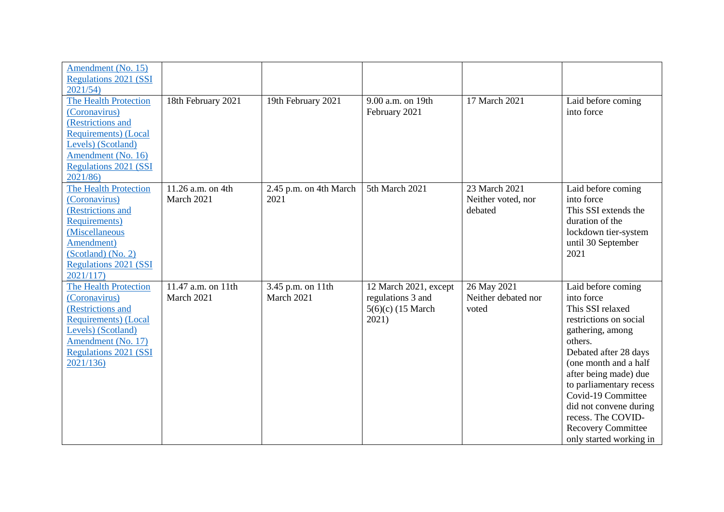| Amendment (No. 15)<br><b>Regulations 2021 (SSI</b> |                    |                        |                       |                     |                           |
|----------------------------------------------------|--------------------|------------------------|-----------------------|---------------------|---------------------------|
| 2021/54                                            |                    |                        |                       |                     |                           |
| <b>The Health Protection</b>                       | 18th February 2021 | 19th February 2021     | 9.00 a.m. on 19th     | 17 March 2021       | Laid before coming        |
| (Coronavirus)                                      |                    |                        | February 2021         |                     | into force                |
| (Restrictions and                                  |                    |                        |                       |                     |                           |
| Requirements) (Local                               |                    |                        |                       |                     |                           |
| Levels) (Scotland)                                 |                    |                        |                       |                     |                           |
| Amendment (No. 16)                                 |                    |                        |                       |                     |                           |
| <b>Regulations 2021 (SSI</b>                       |                    |                        |                       |                     |                           |
| 2021/86)                                           |                    |                        |                       |                     |                           |
| <b>The Health Protection</b>                       | 11.26 a.m. on 4th  | 2.45 p.m. on 4th March | 5th March 2021        | 23 March 2021       | Laid before coming        |
| (Coronavirus)                                      | March 2021         | 2021                   |                       | Neither voted, nor  | into force                |
| (Restrictions and                                  |                    |                        |                       | debated             | This SSI extends the      |
| <b>Requirements</b> )                              |                    |                        |                       |                     | duration of the           |
| (Miscellaneous                                     |                    |                        |                       |                     | lockdown tier-system      |
| Amendment)                                         |                    |                        |                       |                     | until 30 September        |
| (Scotland) (No. 2)                                 |                    |                        |                       |                     | 2021                      |
| <b>Regulations 2021 (SSI</b>                       |                    |                        |                       |                     |                           |
| 2021/117                                           |                    |                        |                       |                     |                           |
| <b>The Health Protection</b>                       | 11.47 a.m. on 11th | 3.45 p.m. on 11th      | 12 March 2021, except | 26 May 2021         | Laid before coming        |
| (Coronavirus)                                      | March 2021         | March 2021             | regulations 3 and     | Neither debated nor | into force                |
| (Restrictions and                                  |                    |                        | $5(6)(c)$ (15 March   | voted               | This SSI relaxed          |
| <b>Requirements</b> ) (Local                       |                    |                        | 2021)                 |                     | restrictions on social    |
| Levels) (Scotland)                                 |                    |                        |                       |                     | gathering, among          |
| Amendment (No. 17)                                 |                    |                        |                       |                     | others.                   |
| <b>Regulations 2021 (SSI</b>                       |                    |                        |                       |                     | Debated after 28 days     |
| 2021/136)                                          |                    |                        |                       |                     | (one month and a half     |
|                                                    |                    |                        |                       |                     |                           |
|                                                    |                    |                        |                       |                     | after being made) due     |
|                                                    |                    |                        |                       |                     | to parliamentary recess   |
|                                                    |                    |                        |                       |                     | Covid-19 Committee        |
|                                                    |                    |                        |                       |                     | did not convene during    |
|                                                    |                    |                        |                       |                     | recess. The COVID-        |
|                                                    |                    |                        |                       |                     | <b>Recovery Committee</b> |
|                                                    |                    |                        |                       |                     | only started working in   |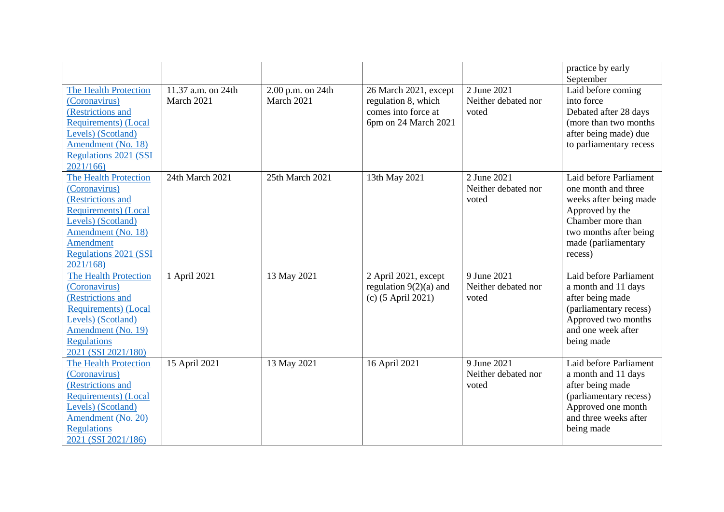|                              |                    |                     |                          |                     | practice by early<br>September |
|------------------------------|--------------------|---------------------|--------------------------|---------------------|--------------------------------|
| <b>The Health Protection</b> | 11.37 a.m. on 24th | 2.00 p.m. on $24th$ | 26 March 2021, except    | 2 June 2021         | Laid before coming             |
| (Coronavirus)                | March 2021         | March 2021          | regulation 8, which      | Neither debated nor | into force                     |
| (Restrictions and            |                    |                     | comes into force at      | voted               | Debated after 28 days          |
| <b>Requirements</b> ) (Local |                    |                     | 6pm on 24 March 2021     |                     | (more than two months)         |
| Levels) (Scotland)           |                    |                     |                          |                     | after being made) due          |
| Amendment (No. 18)           |                    |                     |                          |                     | to parliamentary recess        |
| <b>Regulations 2021 (SSI</b> |                    |                     |                          |                     |                                |
| 2021/166                     |                    |                     |                          |                     |                                |
| <b>The Health Protection</b> | 24th March 2021    | 25th March 2021     | 13th May 2021            | 2 June 2021         | Laid before Parliament         |
| (Coronavirus)                |                    |                     |                          | Neither debated nor | one month and three            |
| (Restrictions and            |                    |                     |                          | voted               | weeks after being made         |
| <b>Requirements</b> ) (Local |                    |                     |                          |                     | Approved by the                |
| Levels) (Scotland)           |                    |                     |                          |                     | Chamber more than              |
| Amendment (No. 18)           |                    |                     |                          |                     | two months after being         |
| Amendment                    |                    |                     |                          |                     | made (parliamentary            |
| <b>Regulations 2021 (SSI</b> |                    |                     |                          |                     | recess)                        |
| 2021/168                     |                    |                     |                          |                     |                                |
| <b>The Health Protection</b> | 1 April 2021       | 13 May 2021         | 2 April 2021, except     | 9 June 2021         | Laid before Parliament         |
| (Coronavirus)                |                    |                     | regulation $9(2)(a)$ and | Neither debated nor | a month and 11 days            |
| (Restrictions and            |                    |                     | (c) (5 April 2021)       | voted               | after being made               |
| <b>Requirements</b> ) (Local |                    |                     |                          |                     | (parliamentary recess)         |
| Levels) (Scotland)           |                    |                     |                          |                     | Approved two months            |
| Amendment (No. 19)           |                    |                     |                          |                     | and one week after             |
| <b>Regulations</b>           |                    |                     |                          |                     | being made                     |
| 2021 (SSI 2021/180)          |                    |                     |                          |                     |                                |
| <b>The Health Protection</b> | 15 April 2021      | 13 May 2021         | 16 April 2021            | 9 June 2021         | Laid before Parliament         |
| (Coronavirus)                |                    |                     |                          | Neither debated nor | a month and 11 days            |
| (Restrictions and            |                    |                     |                          | voted               | after being made               |
| <b>Requirements</b> ) (Local |                    |                     |                          |                     | (parliamentary recess)         |
| Levels) (Scotland)           |                    |                     |                          |                     | Approved one month             |
| Amendment (No. 20)           |                    |                     |                          |                     | and three weeks after          |
| <b>Regulations</b>           |                    |                     |                          |                     | being made                     |
| 2021 (SSI 2021/186)          |                    |                     |                          |                     |                                |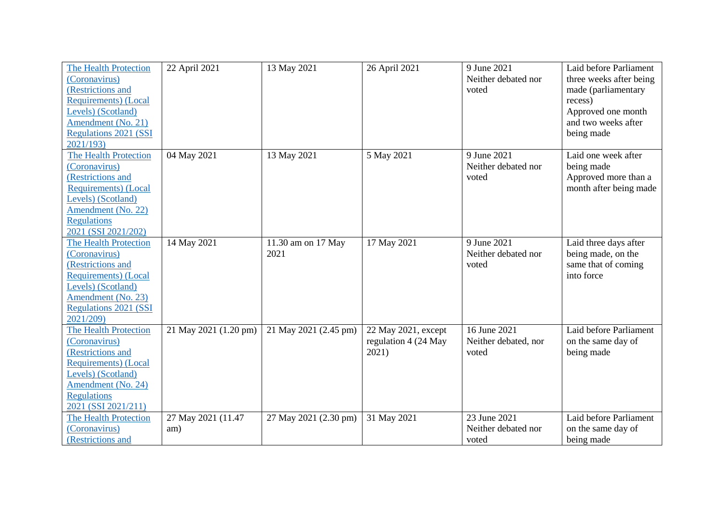| The Health Protection<br>(Coronavirus)<br>(Restrictions and<br><b>Requirements</b> ) (Local<br>Levels) (Scotland)<br>Amendment (No. 21)<br><b>Regulations 2021 (SSI</b><br>2021/193         | 22 April 2021             | 13 May 2021                | 26 April 2021                                        | 9 June 2021<br>Neither debated nor<br>voted   | Laid before Parliament<br>three weeks after being<br>made (parliamentary<br>recess)<br>Approved one month<br>and two weeks after<br>being made |
|---------------------------------------------------------------------------------------------------------------------------------------------------------------------------------------------|---------------------------|----------------------------|------------------------------------------------------|-----------------------------------------------|------------------------------------------------------------------------------------------------------------------------------------------------|
| The Health Protection<br>(Coronavirus)<br>(Restrictions and<br><b>Requirements</b> ) (Local<br>Levels) (Scotland)<br>Amendment (No. 22)<br><b>Regulations</b><br>2021 (SSI 2021/202)        | 04 May 2021               | 13 May 2021                | 5 May 2021                                           | 9 June 2021<br>Neither debated nor<br>voted   | Laid one week after<br>being made<br>Approved more than a<br>month after being made                                                            |
| The Health Protection<br>(Coronavirus)<br>(Restrictions and<br><b>Requirements</b> ) (Local<br>Levels) (Scotland)<br>Amendment (No. 23)<br><b>Regulations 2021 (SSI</b><br>2021/209)        | 14 May 2021               | 11.30 am on 17 May<br>2021 | 17 May 2021                                          | 9 June 2021<br>Neither debated nor<br>voted   | Laid three days after<br>being made, on the<br>same that of coming<br>into force                                                               |
| <b>The Health Protection</b><br>(Coronavirus)<br>(Restrictions and<br><b>Requirements</b> ) (Local<br>Levels) (Scotland)<br>Amendment (No. 24)<br><b>Regulations</b><br>2021 (SSI 2021/211) | 21 May 2021 (1.20 pm)     | 21 May 2021 (2.45 pm)      | 22 May 2021, except<br>regulation 4 (24 May<br>2021) | 16 June 2021<br>Neither debated, nor<br>voted | Laid before Parliament<br>on the same day of<br>being made                                                                                     |
| <b>The Health Protection</b><br>(Coronavirus)<br>(Restrictions and                                                                                                                          | 27 May 2021 (11.47<br>am) | 27 May 2021 (2.30 pm)      | 31 May 2021                                          | 23 June 2021<br>Neither debated nor<br>voted  | Laid before Parliament<br>on the same day of<br>being made                                                                                     |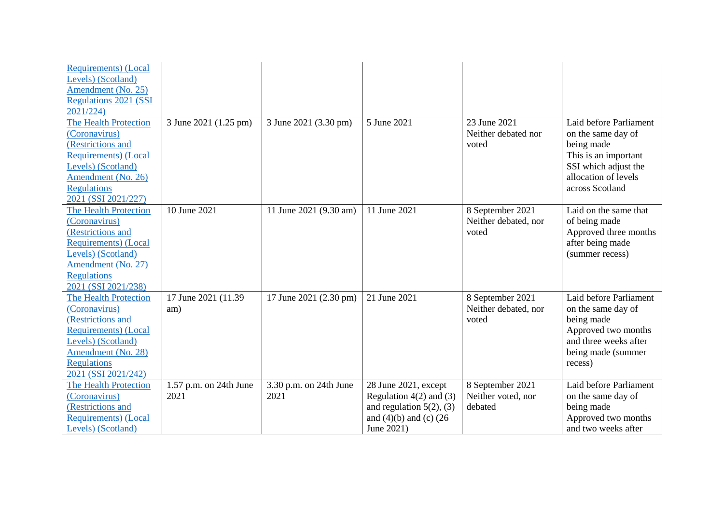| <b>Requirements</b> ) (Local |                        |                        |                               |                      |                        |
|------------------------------|------------------------|------------------------|-------------------------------|----------------------|------------------------|
| Levels) (Scotland)           |                        |                        |                               |                      |                        |
| Amendment (No. 25)           |                        |                        |                               |                      |                        |
| <b>Regulations 2021 (SSI</b> |                        |                        |                               |                      |                        |
| 2021/224)                    |                        |                        |                               |                      |                        |
| The Health Protection        | 3 June 2021 (1.25 pm)  | 3 June 2021 (3.30 pm)  | 5 June 2021                   | 23 June 2021         | Laid before Parliament |
| (Coronavirus)                |                        |                        |                               | Neither debated nor  | on the same day of     |
| (Restrictions and            |                        |                        |                               | voted                | being made             |
| <b>Requirements</b> ) (Local |                        |                        |                               |                      | This is an important   |
| Levels) (Scotland)           |                        |                        |                               |                      | SSI which adjust the   |
| Amendment (No. 26)           |                        |                        |                               |                      | allocation of levels   |
| <b>Regulations</b>           |                        |                        |                               |                      | across Scotland        |
| 2021 (SSI 2021/227)          |                        |                        |                               |                      |                        |
| <b>The Health Protection</b> | 10 June 2021           | 11 June 2021 (9.30 am) | 11 June 2021                  | 8 September 2021     | Laid on the same that  |
| (Coronavirus)                |                        |                        |                               | Neither debated, nor | of being made          |
| (Restrictions and            |                        |                        |                               | voted                | Approved three months  |
| <b>Requirements</b> ) (Local |                        |                        |                               |                      | after being made       |
| Levels) (Scotland)           |                        |                        |                               |                      | (summer recess)        |
| Amendment (No. 27)           |                        |                        |                               |                      |                        |
| <b>Regulations</b>           |                        |                        |                               |                      |                        |
| 2021 (SSI 2021/238)          |                        |                        |                               |                      |                        |
| <b>The Health Protection</b> | 17 June 2021 (11.39)   | 17 June 2021 (2.30 pm) | 21 June 2021                  | 8 September 2021     | Laid before Parliament |
| (Coronavirus)                | am)                    |                        |                               | Neither debated, nor | on the same day of     |
| (Restrictions and            |                        |                        |                               | voted                | being made             |
| <b>Requirements</b> ) (Local |                        |                        |                               |                      | Approved two months    |
| Levels) (Scotland)           |                        |                        |                               |                      | and three weeks after  |
| Amendment (No. 28)           |                        |                        |                               |                      | being made (summer     |
| <b>Regulations</b>           |                        |                        |                               |                      | recess)                |
| 2021 (SSI 2021/242)          |                        |                        |                               |                      |                        |
| <b>The Health Protection</b> | 1.57 p.m. on 24th June | 3.30 p.m. on 24th June | 28 June 2021, except          | 8 September 2021     | Laid before Parliament |
| (Coronavirus)                | 2021                   | 2021                   | Regulation $4(2)$ and $(3)$   | Neither voted, nor   | on the same day of     |
| (Restrictions and            |                        |                        | and regulation $5(2)$ , (3)   | debated              | being made             |
| <b>Requirements</b> ) (Local |                        |                        | and $(4)(b)$ and $(c)$ $(26)$ |                      | Approved two months    |
| Levels) (Scotland)           |                        |                        | June 2021)                    |                      | and two weeks after    |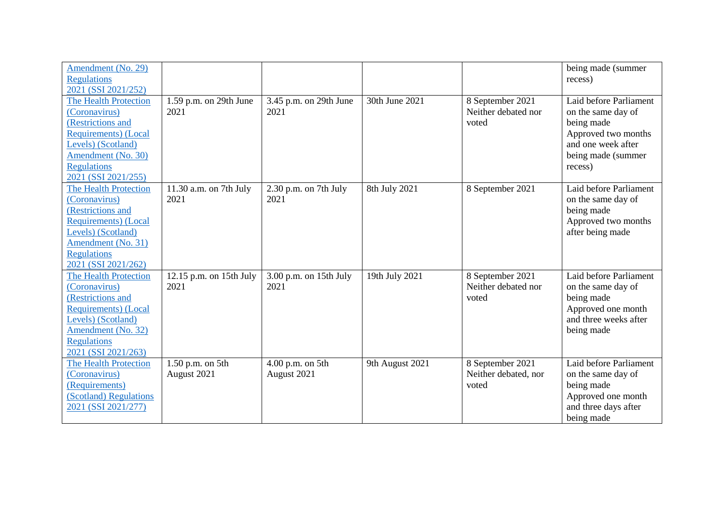| Amendment (No. 29)<br><b>Regulations</b><br>2021 (SSI 2021/252)                                                                                                                             |                                   |                                 |                 |                                                   | being made (summer<br>recess)                                                                                                            |
|---------------------------------------------------------------------------------------------------------------------------------------------------------------------------------------------|-----------------------------------|---------------------------------|-----------------|---------------------------------------------------|------------------------------------------------------------------------------------------------------------------------------------------|
| <b>The Health Protection</b><br>(Coronavirus)<br>(Restrictions and<br><b>Requirements</b> ) (Local<br>Levels) (Scotland)<br>Amendment (No. 30)<br><b>Regulations</b><br>2021 (SSI 2021/255) | 1.59 p.m. on 29th June<br>2021    | 3.45 p.m. on 29th June<br>2021  | 30th June 2021  | 8 September 2021<br>Neither debated nor<br>voted  | Laid before Parliament<br>on the same day of<br>being made<br>Approved two months<br>and one week after<br>being made (summer<br>recess) |
| <b>The Health Protection</b><br>(Coronavirus)<br>(Restrictions and<br><b>Requirements</b> ) (Local<br>Levels) (Scotland)<br>Amendment (No. 31)<br><b>Regulations</b><br>2021 (SSI 2021/262) | 11.30 a.m. on 7th July<br>2021    | 2.30 p.m. on 7th July<br>2021   | 8th July 2021   | 8 September 2021                                  | Laid before Parliament<br>on the same day of<br>being made<br>Approved two months<br>after being made                                    |
| <b>The Health Protection</b><br>(Coronavirus)<br>(Restrictions and<br><b>Requirements</b> ) (Local<br>Levels) (Scotland)<br>Amendment (No. 32)<br><b>Regulations</b><br>2021 (SSI 2021/263) | $12.15$ p.m. on 15th July<br>2021 | 3.00 p.m. on 15th July<br>2021  | 19th July 2021  | 8 September 2021<br>Neither debated nor<br>voted  | Laid before Parliament<br>on the same day of<br>being made<br>Approved one month<br>and three weeks after<br>being made                  |
| <b>The Health Protection</b><br>(Coronavirus)<br>(Requirements)<br>(Scotland) Regulations<br>2021 (SSI 2021/277)                                                                            | 1.50 p.m. on 5th<br>August 2021   | 4.00 p.m. on 5th<br>August 2021 | 9th August 2021 | 8 September 2021<br>Neither debated, nor<br>voted | Laid before Parliament<br>on the same day of<br>being made<br>Approved one month<br>and three days after<br>being made                   |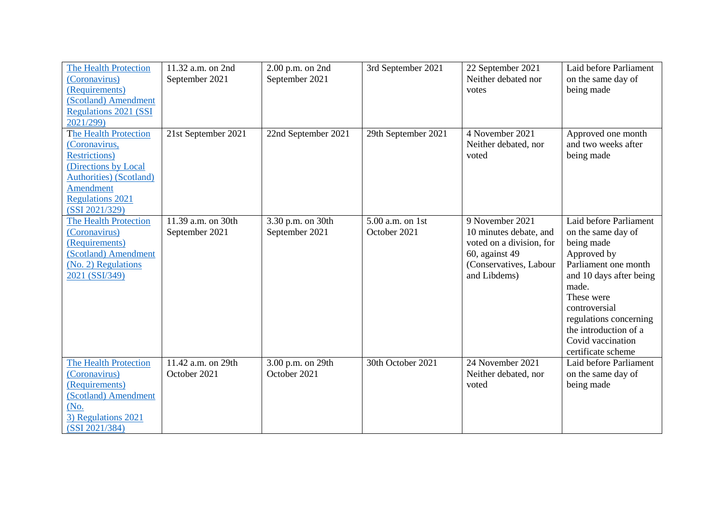| <b>The Health Protection</b><br>(Coronavirus)<br>(Requirements)<br>(Scotland) Amendment<br><b>Regulations 2021 (SSI</b><br>2021/299)                                                        | 11.32 a.m. on 2nd<br>September 2021  | 2.00 p.m. on 2nd<br>September 2021  | 3rd September 2021                 | 22 September 2021<br>Neither debated nor<br>votes                                                                                 | Laid before Parliament<br>on the same day of<br>being made                                                                                                                                                                                                         |
|---------------------------------------------------------------------------------------------------------------------------------------------------------------------------------------------|--------------------------------------|-------------------------------------|------------------------------------|-----------------------------------------------------------------------------------------------------------------------------------|--------------------------------------------------------------------------------------------------------------------------------------------------------------------------------------------------------------------------------------------------------------------|
| <b>The Health Protection</b><br>(Coronavirus,<br><b>Restrictions</b> )<br>(Directions by Local<br><b>Authorities</b> ) (Scotland)<br>Amendment<br><b>Regulations 2021</b><br>(SSI 2021/329) | 21st September 2021                  | 22nd September 2021                 | 29th September 2021                | 4 November 2021<br>Neither debated, nor<br>voted                                                                                  | Approved one month<br>and two weeks after<br>being made                                                                                                                                                                                                            |
| <b>The Health Protection</b><br>(Coronavirus)<br>(Requirements)<br>(Scotland) Amendment<br>(No. 2) Regulations<br>2021 (SSI/349)                                                            | 11.39 a.m. on 30th<br>September 2021 | 3.30 p.m. on 30th<br>September 2021 | $5.00$ a.m. on 1st<br>October 2021 | 9 November 2021<br>10 minutes debate, and<br>voted on a division, for<br>60, against 49<br>(Conservatives, Labour<br>and Libdems) | Laid before Parliament<br>on the same day of<br>being made<br>Approved by<br>Parliament one month<br>and 10 days after being<br>made.<br>These were<br>controversial<br>regulations concerning<br>the introduction of a<br>Covid vaccination<br>certificate scheme |
| The Health Protection<br>(Coronavirus)<br>(Requirements)<br>(Scotland) Amendment<br>(No.<br>3) Regulations 2021<br>(SSI 2021/384)                                                           | 11.42 a.m. on 29th<br>October 2021   | 3.00 p.m. on 29th<br>October 2021   | 30th October 2021                  | 24 November 2021<br>Neither debated, nor<br>voted                                                                                 | Laid before Parliament<br>on the same day of<br>being made                                                                                                                                                                                                         |